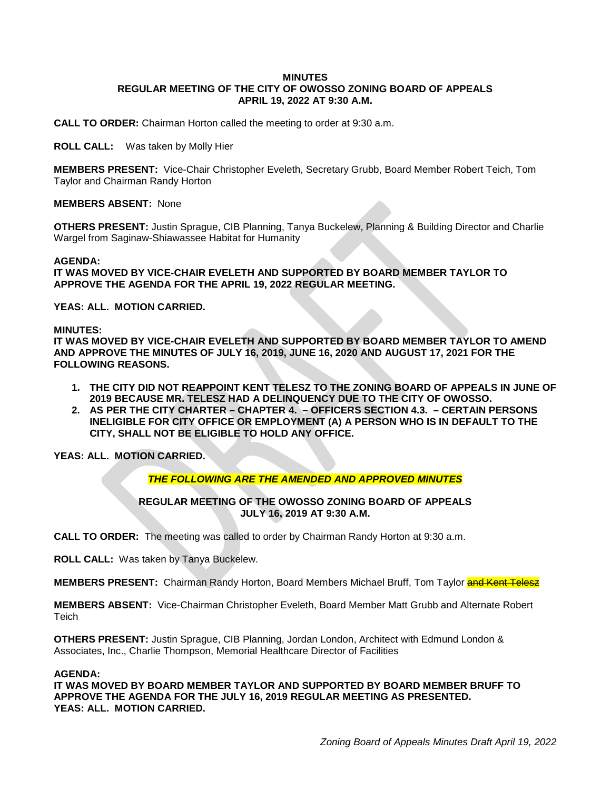# **MINUTES REGULAR MEETING OF THE CITY OF OWOSSO ZONING BOARD OF APPEALS APRIL 19, 2022 AT 9:30 A.M.**

**CALL TO ORDER:** Chairman Horton called the meeting to order at 9:30 a.m.

**ROLL CALL:** Was taken by Molly Hier

**MEMBERS PRESENT:** Vice-Chair Christopher Eveleth, Secretary Grubb, Board Member Robert Teich, Tom Taylor and Chairman Randy Horton

# **MEMBERS ABSENT:** None

**OTHERS PRESENT:** Justin Sprague, CIB Planning, Tanya Buckelew, Planning & Building Director and Charlie Wargel from Saginaw-Shiawassee Habitat for Humanity

#### **AGENDA:**

**IT WAS MOVED BY VICE-CHAIR EVELETH AND SUPPORTED BY BOARD MEMBER TAYLOR TO APPROVE THE AGENDA FOR THE APRIL 19, 2022 REGULAR MEETING.**

**YEAS: ALL. MOTION CARRIED.**

#### **MINUTES:**

**IT WAS MOVED BY VICE-CHAIR EVELETH AND SUPPORTED BY BOARD MEMBER TAYLOR TO AMEND AND APPROVE THE MINUTES OF JULY 16, 2019, JUNE 16, 2020 AND AUGUST 17, 2021 FOR THE FOLLOWING REASONS.**

- **1. THE CITY DID NOT REAPPOINT KENT TELESZ TO THE ZONING BOARD OF APPEALS IN JUNE OF 2019 BECAUSE MR. TELESZ HAD A DELINQUENCY DUE TO THE CITY OF OWOSSO.**
- **2. AS PER THE CITY CHARTER – CHAPTER 4. – OFFICERS SECTION 4.3. – CERTAIN PERSONS INELIGIBLE FOR CITY OFFICE OR EMPLOYMENT (A) A PERSON WHO IS IN DEFAULT TO THE CITY, SHALL NOT BE ELIGIBLE TO HOLD ANY OFFICE.**

**YEAS: ALL. MOTION CARRIED.**

# *THE FOLLOWING ARE THE AMENDED AND APPROVED MINUTES*

# **REGULAR MEETING OF THE OWOSSO ZONING BOARD OF APPEALS JULY 16, 2019 AT 9:30 A.M.**

**CALL TO ORDER:** The meeting was called to order by Chairman Randy Horton at 9:30 a.m.

**ROLL CALL:** Was taken by Tanya Buckelew.

**MEMBERS PRESENT:** Chairman Randy Horton, Board Members Michael Bruff, Tom Taylor **and Kent Telesz** 

**MEMBERS ABSENT:** Vice-Chairman Christopher Eveleth, Board Member Matt Grubb and Alternate Robert **Teich** 

**OTHERS PRESENT:** Justin Sprague, CIB Planning, Jordan London, Architect with Edmund London & Associates, Inc., Charlie Thompson, Memorial Healthcare Director of Facilities

#### **AGENDA:**

**IT WAS MOVED BY BOARD MEMBER TAYLOR AND SUPPORTED BY BOARD MEMBER BRUFF TO APPROVE THE AGENDA FOR THE JULY 16, 2019 REGULAR MEETING AS PRESENTED. YEAS: ALL. MOTION CARRIED.**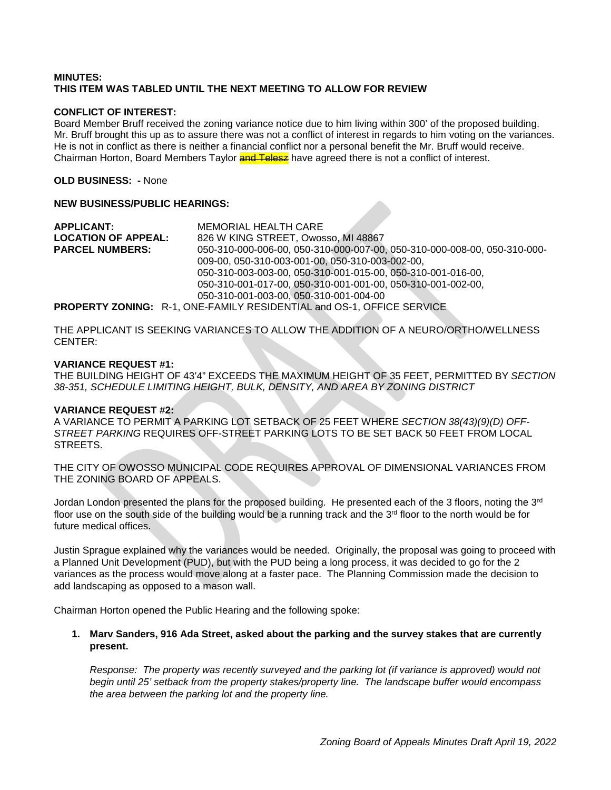# **MINUTES: THIS ITEM WAS TABLED UNTIL THE NEXT MEETING TO ALLOW FOR REVIEW**

# **CONFLICT OF INTEREST:**

Board Member Bruff received the zoning variance notice due to him living within 300' of the proposed building. Mr. Bruff brought this up as to assure there was not a conflict of interest in regards to him voting on the variances. He is not in conflict as there is neither a financial conflict nor a personal benefit the Mr. Bruff would receive. Chairman Horton, Board Members Taylor **and Telesz** have agreed there is not a conflict of interest.

**OLD BUSINESS: -** None

# **NEW BUSINESS/PUBLIC HEARINGS:**

**APPLICANT:** MEMORIAL HEALTH CARE **LOCATION OF APPEAL:** 826 W KING STREET, Owosso, MI 48867 050-310-000-006-00, 050-310-000-007-00, 050-310-000-008-00, 050-310-000-009-00, 050-310-003-001-00, 050-310-003-002-00, 050-310-003-003-00, 050-310-001-015-00, 050-310-001-016-00, 050-310-001-017-00, 050-310-001-001-00, 050-310-001-002-00, 050-310-001-003-00, 050-310-001-004-00 **PROPERTY ZONING:** R-1, ONE-FAMILY RESIDENTIAL and OS-1, OFFICE SERVICE

THE APPLICANT IS SEEKING VARIANCES TO ALLOW THE ADDITION OF A NEURO/ORTHO/WELLNESS CENTER:

# **VARIANCE REQUEST #1:**

THE BUILDING HEIGHT OF 43'4" EXCEEDS THE MAXIMUM HEIGHT OF 35 FEET, PERMITTED BY *SECTION 38-351, SCHEDULE LIMITING HEIGHT, BULK, DENSITY, AND AREA BY ZONING DISTRICT*

# **VARIANCE REQUEST #2:**

A VARIANCE TO PERMIT A PARKING LOT SETBACK OF 25 FEET WHERE *SECTION 38(43)(9)(D) OFF-STREET PARKING* REQUIRES OFF-STREET PARKING LOTS TO BE SET BACK 50 FEET FROM LOCAL STREETS.

THE CITY OF OWOSSO MUNICIPAL CODE REQUIRES APPROVAL OF DIMENSIONAL VARIANCES FROM THE ZONING BOARD OF APPEALS.

Jordan London presented the plans for the proposed building. He presented each of the 3 floors, noting the 3<sup>rd</sup> floor use on the south side of the building would be a running track and the  $3<sup>rd</sup>$  floor to the north would be for future medical offices.

Justin Sprague explained why the variances would be needed. Originally, the proposal was going to proceed with a Planned Unit Development (PUD), but with the PUD being a long process, it was decided to go for the 2 variances as the process would move along at a faster pace. The Planning Commission made the decision to add landscaping as opposed to a mason wall.

Chairman Horton opened the Public Hearing and the following spoke:

# **1. Marv Sanders, 916 Ada Street, asked about the parking and the survey stakes that are currently present.**

*Response: The property was recently surveyed and the parking lot (if variance is approved) would not begin until 25' setback from the property stakes/property line. The landscape buffer would encompass the area between the parking lot and the property line.*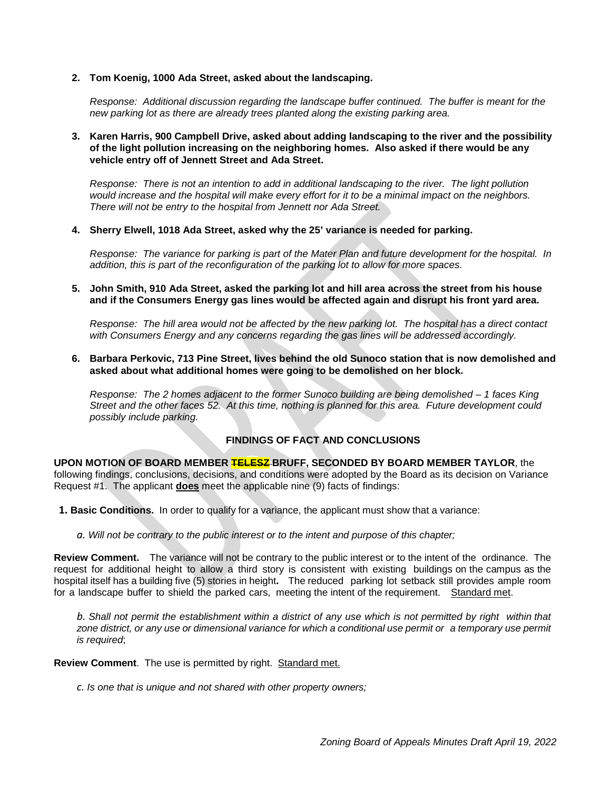**2. Tom Koenig, 1000 Ada Street, asked about the landscaping.**

*Response: Additional discussion regarding the landscape buffer continued. The buffer is meant for the new parking lot as there are already trees planted along the existing parking area.*

**3. Karen Harris, 900 Campbell Drive, asked about adding landscaping to the river and the possibility of the light pollution increasing on the neighboring homes. Also asked if there would be any vehicle entry off of Jennett Street and Ada Street.**

*Response: There is not an intention to add in additional landscaping to the river. The light pollution would increase and the hospital will make every effort for it to be a minimal impact on the neighbors. There will not be entry to the hospital from Jennett nor Ada Street.*

**4. Sherry Elwell, 1018 Ada Street, asked why the 25' variance is needed for parking.**

*Response: The variance for parking is part of the Mater Plan and future development for the hospital. In addition, this is part of the reconfiguration of the parking lot to allow for more spaces.*

**5. John Smith, 910 Ada Street, asked the parking lot and hill area across the street from his house and if the Consumers Energy gas lines would be affected again and disrupt his front yard area.**

*Response: The hill area would not be affected by the new parking lot. The hospital has a direct contact with Consumers Energy and any concerns regarding the gas lines will be addressed accordingly.*

**6. Barbara Perkovic, 713 Pine Street, lives behind the old Sunoco station that is now demolished and asked about what additional homes were going to be demolished on her block.**

*Response: The 2 homes adjacent to the former Sunoco building are being demolished – 1 faces King Street and the other faces 52. At this time, nothing is planned for this area. Future development could possibly include parking.*

# **FINDINGS OF FACT AND CONCLUSIONS**

**UPON MOTION OF BOARD MEMBER TELESZ BRUFF, SECONDED BY BOARD MEMBER TAYLOR**, the following findings, conclusions, decisions, and conditions were adopted by the Board as its decision on Variance Request #1. The applicant **does** meet the applicable nine (9) facts of findings:

- **1. Basic Conditions.** In order to qualify for a variance, the applicant must show that a variance:
	- *a. Will not be contrary to the public interest or to the intent and purpose of this chapter;*

**Review Comment.** The variance will not be contrary to the public interest or to the intent of the ordinance. The request for additional height to allow a third story is consistent with existing buildings on the campus as the hospital itself has a building five (5) stories in height**.** The reduced parking lot setback still provides ample room for a landscape buffer to shield the parked cars, meeting the intent of the requirement. Standard met.

b. Shall not permit the establishment within a district of any use which is not permitted by right within that zone district, or any use or dimensional variance for which a conditional use permit or a temporary use permit *is required*;

**Review Comment**. The use is permitted by right. Standard met.

*c. Is one that is unique and not shared with other property owners;*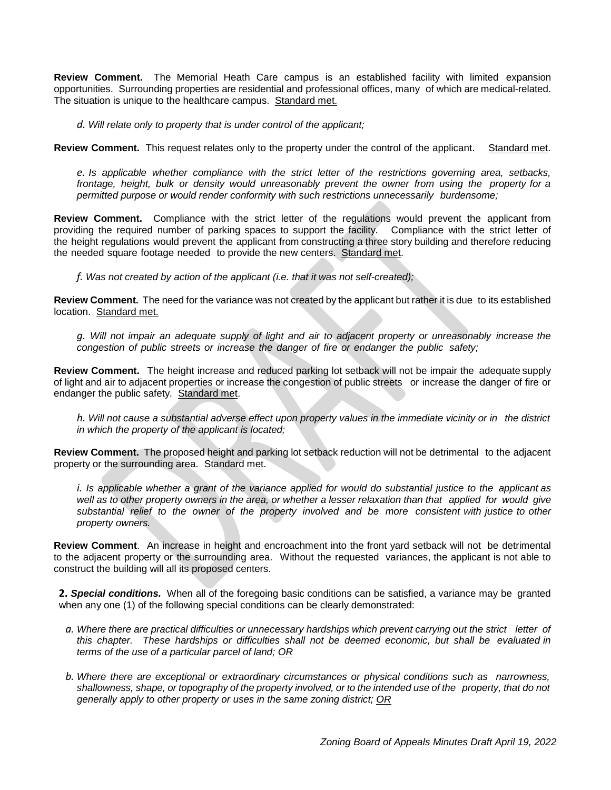**Review Comment.** The Memorial Heath Care campus is an established facility with limited expansion opportunities. Surrounding properties are residential and professional offices, many of which are medical-related. The situation is unique to the healthcare campus. Standard met.

*d. Will relate only to property that is under control of the applicant;*

**Review Comment.** This request relates only to the property under the control of the applicant. Standard met.

*e. Is applicable whether compliance with the strict letter of the restrictions governing area, setbacks, frontage, height, bulk or density would unreasonably prevent the owner from using the property for a permitted purpose or would render conformity with such restrictions unnecessarily burdensome;*

**Review Comment.** Compliance with the strict letter of the regulations would prevent the applicant from providing the required number of parking spaces to support the facility. Compliance with the strict letter of the height regulations would prevent the applicant from constructing a three story building and therefore reducing the needed square footage needed to provide the new centers. Standard met.

*f. Was not created by action of the applicant (i.e. that it was not self-created);*

**Review Comment.** The need for the variance was not created by the applicant but rather it is due to its established location. Standard met.

q. Will not impair an adequate supply of light and air to adjacent property or unreasonably increase the *congestion of public streets or increase the danger of fire or endanger the public safety;*

**Review Comment.** The height increase and reduced parking lot setback will not be impair the adequate supply of light and air to adjacent properties or increase the congestion of public streets or increase the danger of fire or endanger the public safety. Standard met.

*h. Will not cause a substantial adverse effect upon property values in the immediate vicinity or in the district in which the property of the applicant is located;*

**Review Comment.** The proposed height and parking lot setback reduction will not be detrimental to the adjacent property or the surrounding area. Standard met.

i. Is applicable whether a grant of the variance applied for would do substantial justice to the applicant as well as to other property owners in the area, or whether a lesser relaxation than that applied for would give *substantial relief to the owner of the property involved and be more consistent with justice to other property owners.*

**Review Comment**. An increase in height and encroachment into the front yard setback will not be detrimental to the adjacent property or the surrounding area. Without the requested variances, the applicant is not able to construct the building will all its proposed centers.

**2.** *Special conditions.* When all of the foregoing basic conditions can be satisfied, a variance may be granted when any one (1) of the following special conditions can be clearly demonstrated:

- a. Where there are practical difficulties or unnecessary hardships which prevent carrying out the strict letter of *this chapter. These hardships or difficulties shall not be deemed economic, but shall be evaluated in terms of the use of a particular parcel of land; OR*
- *b. Where there are exceptional or extraordinary circumstances or physical conditions such as narrowness,* shallowness, shape, or topography of the property involved, or to the intended use of the property, that do not *generally apply to other property or uses in the same zoning district; OR*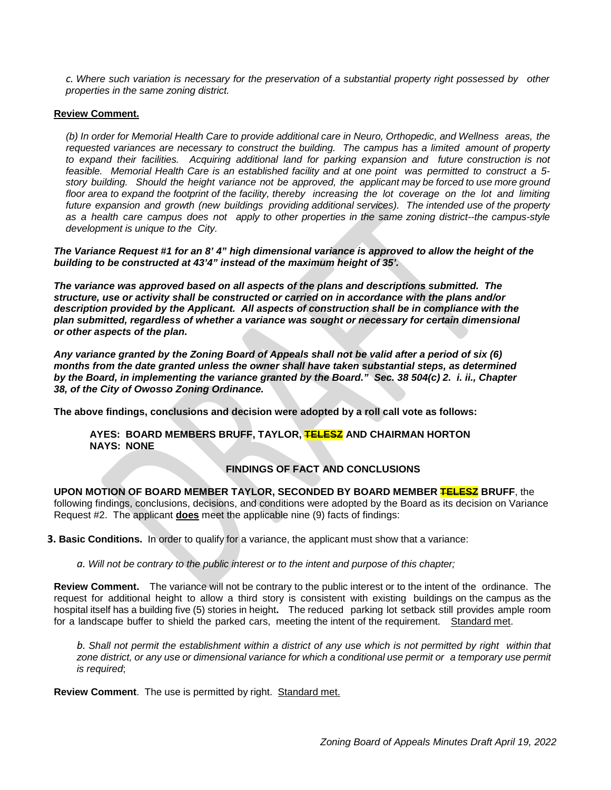*c. Where such variation is necessary for the preservation of a substantial property right possessed by other properties in the same zoning district.*

#### **Review Comment.**

*(b) In order for Memorial Health Care to provide additional care in Neuro, Orthopedic, and Wellness areas, the requested variances are necessary to construct the building. The campus has a limited amount of property to expand their facilities. Acquiring additional land for parking expansion and future construction is not* feasible. Memorial Health Care is an established facility and at one point was permitted to construct a 5story building. Should the height variance not be approved, the applicant may be forced to use more ground floor area to expand the footprint of the facility, thereby increasing the lot coverage on the lot and limiting *future expansion and growth (new buildings providing additional services). The intended use of the property as a health care campus does not apply to other properties in the same zoning district--the campus-style development is unique to the City.*

*The Variance Request #1 for an 8' 4" high dimensional variance is approved to allow the height of the building to be constructed at 43'4" instead of the maximum height of 35'.*

*The variance was approved based on all aspects of the plans and descriptions submitted. The structure, use or activity shall be constructed or carried on in accordance with the plans and/or description provided by the Applicant. All aspects of construction shall be in compliance with the plan submitted, regardless of whether a variance was sought or necessary for certain dimensional or other aspects of the plan.* 

*Any variance granted by the Zoning Board of Appeals shall not be valid after a period of six (6) months from the date granted unless the owner shall have taken substantial steps, as determined by the Board, in implementing the variance granted by the Board." Sec. 38 504(c) 2. i. ii., Chapter 38, of the City of Owosso Zoning Ordinance.*

**The above findings, conclusions and decision were adopted by a roll call vote as follows:** 

**AYES: BOARD MEMBERS BRUFF, TAYLOR, TELESZ AND CHAIRMAN HORTON NAYS: NONE**

# **FINDINGS OF FACT AND CONCLUSIONS**

**UPON MOTION OF BOARD MEMBER TAYLOR, SECONDED BY BOARD MEMBER TELESZ BRUFF**, the following findings, conclusions, decisions, and conditions were adopted by the Board as its decision on Variance Request #2. The applicant **does** meet the applicable nine (9) facts of findings:

**3. Basic Conditions.** In order to qualify for a variance, the applicant must show that a variance:

*a. Will not be contrary to the public interest or to the intent and purpose of this chapter;*

**Review Comment.** The variance will not be contrary to the public interest or to the intent of the ordinance. The request for additional height to allow a third story is consistent with existing buildings on the campus as the hospital itself has a building five (5) stories in height**.** The reduced parking lot setback still provides ample room for a landscape buffer to shield the parked cars, meeting the intent of the requirement. Standard met.

b. Shall not permit the establishment within a district of any use which is not permitted by right within that zone district, or any use or dimensional variance for which a conditional use permit or a temporary use permit *is required*;

**Review Comment**. The use is permitted by right. Standard met.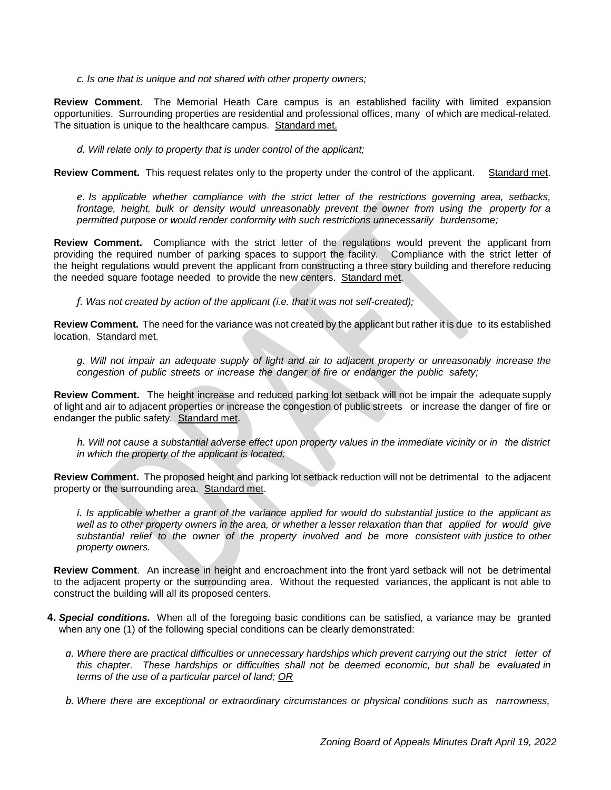*c. Is one that is unique and not shared with other property owners;*

**Review Comment.** The Memorial Heath Care campus is an established facility with limited expansion opportunities. Surrounding properties are residential and professional offices, many of which are medical-related. The situation is unique to the healthcare campus. Standard met.

*d. Will relate only to property that is under control of the applicant;*

**Review Comment.** This request relates only to the property under the control of the applicant. Standard met.

*e. Is applicable whether compliance with the strict letter of the restrictions governing area, setbacks, frontage, height, bulk or density would unreasonably prevent the owner from using the property for a permitted purpose or would render conformity with such restrictions unnecessarily burdensome;*

**Review Comment.** Compliance with the strict letter of the regulations would prevent the applicant from providing the required number of parking spaces to support the facility. Compliance with the strict letter of the height regulations would prevent the applicant from constructing a three story building and therefore reducing the needed square footage needed to provide the new centers. Standard met.

*f. Was not created by action of the applicant (i.e. that it was not self-created);*

**Review Comment.** The need for the variance was not created by the applicant but rather it is due to its established location. Standard met.

q. Will not impair an adequate supply of light and air to adjacent property or unreasonably increase the *congestion of public streets or increase the danger of fire or endanger the public safety;*

**Review Comment.** The height increase and reduced parking lot setback will not be impair the adequate supply of light and air to adjacent properties or increase the congestion of public streets or increase the danger of fire or endanger the public safety. Standard met.

*h. Will not cause a substantial adverse effect upon property values in the immediate vicinity or in the district in which the property of the applicant is located;*

**Review Comment.** The proposed height and parking lot setback reduction will not be detrimental to the adjacent property or the surrounding area. Standard met.

i. Is applicable whether a grant of the variance applied for would do substantial justice to the applicant as well as to other property owners in the area, or whether a lesser relaxation than that applied for would give *substantial relief to the owner of the property involved and be more consistent with justice to other property owners.*

**Review Comment**. An increase in height and encroachment into the front yard setback will not be detrimental to the adjacent property or the surrounding area. Without the requested variances, the applicant is not able to construct the building will all its proposed centers.

- **4.** *Special conditions.* When all of the foregoing basic conditions can be satisfied, a variance may be granted when any one (1) of the following special conditions can be clearly demonstrated:
	- a. Where there are practical difficulties or unnecessary hardships which prevent carrying out the strict letter of *this chapter. These hardships or difficulties shall not be deemed economic, but shall be evaluated in terms of the use of a particular parcel of land; OR*

*b. Where there are exceptional or extraordinary circumstances or physical conditions such as narrowness,*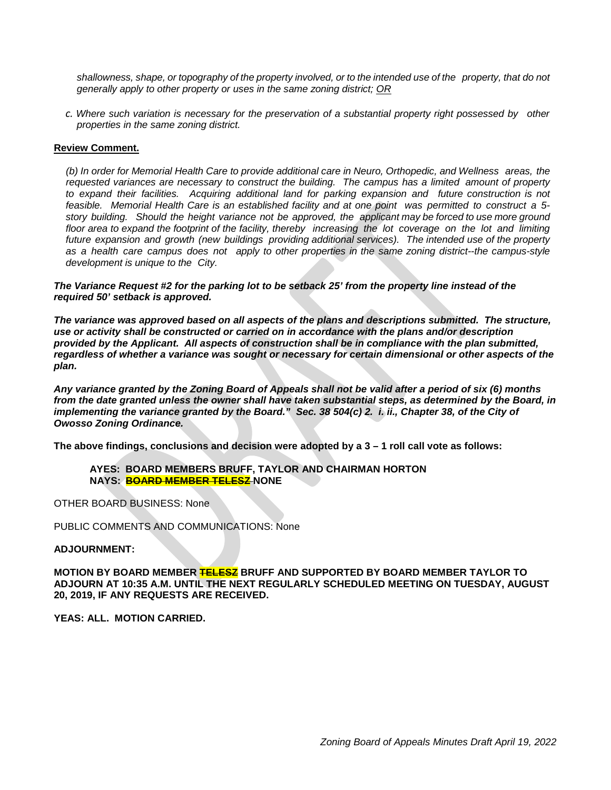shallowness, shape, or topography of the property involved, or to the intended use of the property, that do not *generally apply to other property or uses in the same zoning district; OR*

*c. Where such variation is necessary for the preservation of a substantial property right possessed by other properties in the same zoning district.*

# **Review Comment.**

*(b) In order for Memorial Health Care to provide additional care in Neuro, Orthopedic, and Wellness areas, the requested variances are necessary to construct the building. The campus has a limited amount of property to expand their facilities. Acquiring additional land for parking expansion and future construction is not* feasible. Memorial Health Care is an established facility and at one point was permitted to construct a 5story building. Should the height variance not be approved, the applicant may be forced to use more ground floor area to expand the footprint of the facility, thereby increasing the lot coverage on the lot and limiting *future expansion and growth (new buildings providing additional services). The intended use of the property as a health care campus does not apply to other properties in the same zoning district--the campus-style development is unique to the City.*

*The Variance Request #2 for the parking lot to be setback 25' from the property line instead of the required 50' setback is approved.*

*The variance was approved based on all aspects of the plans and descriptions submitted. The structure, use or activity shall be constructed or carried on in accordance with the plans and/or description provided by the Applicant. All aspects of construction shall be in compliance with the plan submitted, regardless of whether a variance was sought or necessary for certain dimensional or other aspects of the plan.* 

*Any variance granted by the Zoning Board of Appeals shall not be valid after a period of six (6) months from the date granted unless the owner shall have taken substantial steps, as determined by the Board, in implementing the variance granted by the Board.*" Sec. 38 504(c) 2. *i. ii., Chapter 38, of the City of Owosso Zoning Ordinance.*

**The above findings, conclusions and decision were adopted by a 3 – 1 roll call vote as follows:** 

**AYES: BOARD MEMBERS BRUFF, TAYLOR AND CHAIRMAN HORTON NAYS: BOARD MEMBER TELESZ NONE**

OTHER BOARD BUSINESS: None

PUBLIC COMMENTS AND COMMUNICATIONS: None

# **ADJOURNMENT:**

**MOTION BY BOARD MEMBER TELESZ BRUFF AND SUPPORTED BY BOARD MEMBER TAYLOR TO ADJOURN AT 10:35 A.M. UNTIL THE NEXT REGULARLY SCHEDULED MEETING ON TUESDAY, AUGUST 20, 2019, IF ANY REQUESTS ARE RECEIVED.**

**YEAS: ALL. MOTION CARRIED.**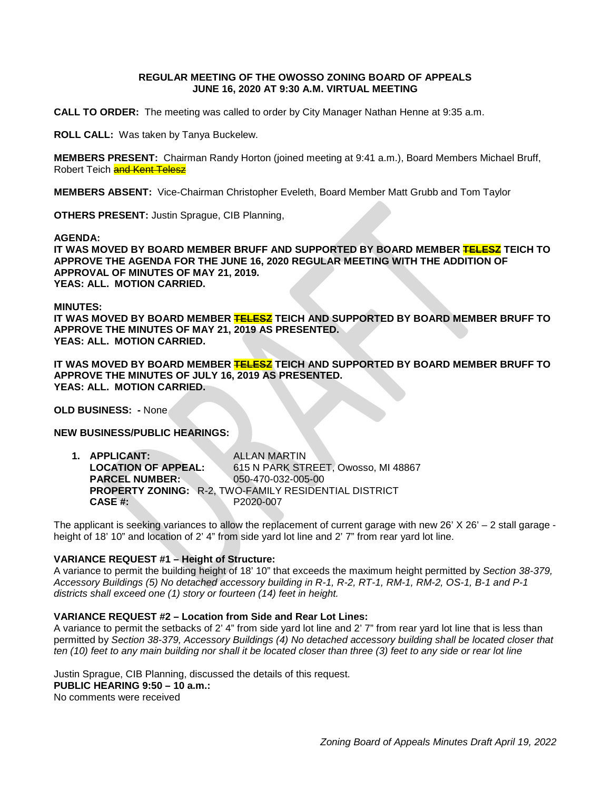# **REGULAR MEETING OF THE OWOSSO ZONING BOARD OF APPEALS JUNE 16, 2020 AT 9:30 A.M. VIRTUAL MEETING**

**CALL TO ORDER:** The meeting was called to order by City Manager Nathan Henne at 9:35 a.m.

**ROLL CALL:** Was taken by Tanya Buckelew.

**MEMBERS PRESENT:** Chairman Randy Horton (joined meeting at 9:41 a.m.), Board Members Michael Bruff, Robert Teich and Kent Telesz

**MEMBERS ABSENT:** Vice-Chairman Christopher Eveleth, Board Member Matt Grubb and Tom Taylor

**OTHERS PRESENT:** Justin Sprague, CIB Planning,

**AGENDA:** 

**IT WAS MOVED BY BOARD MEMBER BRUFF AND SUPPORTED BY BOARD MEMBER TELESZ TEICH TO APPROVE THE AGENDA FOR THE JUNE 16, 2020 REGULAR MEETING WITH THE ADDITION OF APPROVAL OF MINUTES OF MAY 21, 2019. YEAS: ALL. MOTION CARRIED.**

#### **MINUTES:**

**IT WAS MOVED BY BOARD MEMBER TELESZ TEICH AND SUPPORTED BY BOARD MEMBER BRUFF TO APPROVE THE MINUTES OF MAY 21, 2019 AS PRESENTED. YEAS: ALL. MOTION CARRIED.**

**IT WAS MOVED BY BOARD MEMBER TELESZ TEICH AND SUPPORTED BY BOARD MEMBER BRUFF TO APPROVE THE MINUTES OF JULY 16, 2019 AS PRESENTED. YEAS: ALL. MOTION CARRIED.**

**OLD BUSINESS: -** None

# **NEW BUSINESS/PUBLIC HEARINGS:**

| 1. APPLICANT:              | <b>ALLAN MARTIN</b>                                          |
|----------------------------|--------------------------------------------------------------|
| <b>LOCATION OF APPEAL:</b> | 615 N PARK STREET. Owosso, MI 48867                          |
| <b>PARCEL NUMBER:</b>      | 050-470-032-005-00                                           |
|                            | <b>PROPERTY ZONING: R-2, TWO-FAMILY RESIDENTIAL DISTRICT</b> |
| CASE #:                    | P2020-007                                                    |

The applicant is seeking variances to allow the replacement of current garage with new 26' X 26' – 2 stall garage height of 18' 10" and location of 2' 4" from side yard lot line and 2' 7" from rear yard lot line.

# **VARIANCE REQUEST #1 – Height of Structure:**

A variance to permit the building height of 18' 10" that exceeds the maximum height permitted by *Section 38-379, Accessory Buildings (5) No detached accessory building in R-1, R-2, RT-1, RM-1, RM-2, OS-1, B-1 and P-1 districts shall exceed one (1) story or fourteen (14) feet in height.*

# **VARIANCE REQUEST #2 – Location from Side and Rear Lot Lines:**

A variance to permit the setbacks of 2' 4" from side yard lot line and 2' 7" from rear yard lot line that is less than permitted by *Section 38-379, Accessory Buildings (4) No detached accessory building shall be located closer that ten (10) feet to any main building nor shall it be located closer than three (3) feet to any side or rear lot line*

Justin Sprague, CIB Planning, discussed the details of this request. **PUBLIC HEARING 9:50 – 10 a.m.:** No comments were received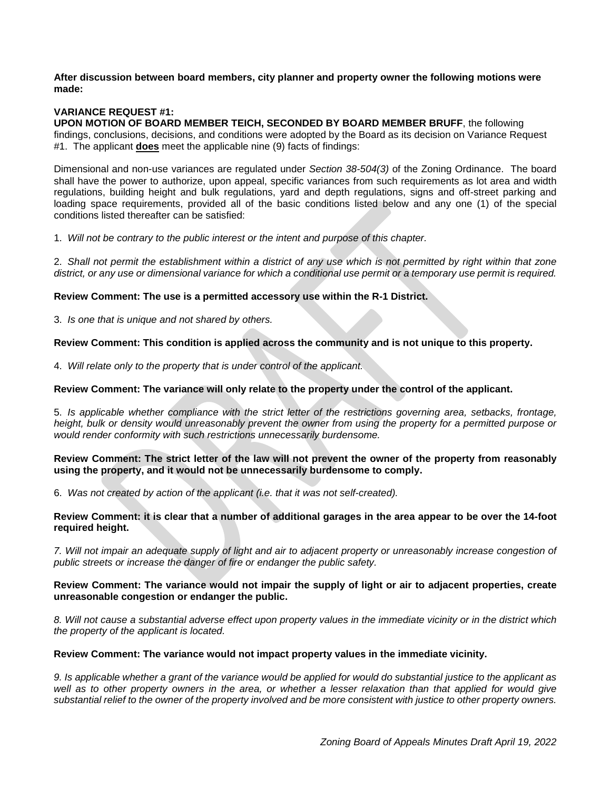**After discussion between board members, city planner and property owner the following motions were made:**

# **VARIANCE REQUEST #1:**

**UPON MOTION OF BOARD MEMBER TEICH, SECONDED BY BOARD MEMBER BRUFF**, the following findings, conclusions, decisions, and conditions were adopted by the Board as its decision on Variance Request #1. The applicant **does** meet the applicable nine (9) facts of findings:

Dimensional and non-use variances are regulated under *Section 38-504(3)* of the Zoning Ordinance. The board shall have the power to authorize, upon appeal, specific variances from such requirements as lot area and width regulations, building height and bulk regulations, yard and depth regulations, signs and off-street parking and loading space requirements, provided all of the basic conditions listed below and any one (1) of the special conditions listed thereafter can be satisfied:

1. *Will not be contrary to the public interest or the intent and purpose of this chapter.*

2. *Shall not permit the establishment within a district of any use which is not permitted by right within that zone district, or any use or dimensional variance for which a conditional use permit or a temporary use permit is required.*

# **Review Comment: The use is a permitted accessory use within the R-1 District.**

3. *Is one that is unique and not shared by others.*

**Review Comment: This condition is applied across the community and is not unique to this property.** 

4. *Will relate only to the property that is under control of the applicant.*

# **Review Comment: The variance will only relate to the property under the control of the applicant.**

5. *Is applicable whether compliance with the strict letter of the restrictions governing area, setbacks, frontage, height, bulk or density would unreasonably prevent the owner from using the property for a permitted purpose or would render conformity with such restrictions unnecessarily burdensome.*

# **Review Comment: The strict letter of the law will not prevent the owner of the property from reasonably using the property, and it would not be unnecessarily burdensome to comply.**

6. *Was not created by action of the applicant (i.e. that it was not self-created).*

# **Review Comment: it is clear that a number of additional garages in the area appear to be over the 14-foot required height.**

*7. Will not impair an adequate supply of light and air to adjacent property or unreasonably increase congestion of public streets or increase the danger of fire or endanger the public safety.*

# **Review Comment: The variance would not impair the supply of light or air to adjacent properties, create unreasonable congestion or endanger the public.**

*8. Will not cause a substantial adverse effect upon property values in the immediate vicinity or in the district which the property of the applicant is located.* 

# **Review Comment: The variance would not impact property values in the immediate vicinity.**

*9. Is applicable whether a grant of the variance would be applied for would do substantial justice to the applicant as well as to other property owners in the area, or whether a lesser relaxation than that applied for would give substantial relief to the owner of the property involved and be more consistent with justice to other property owners.*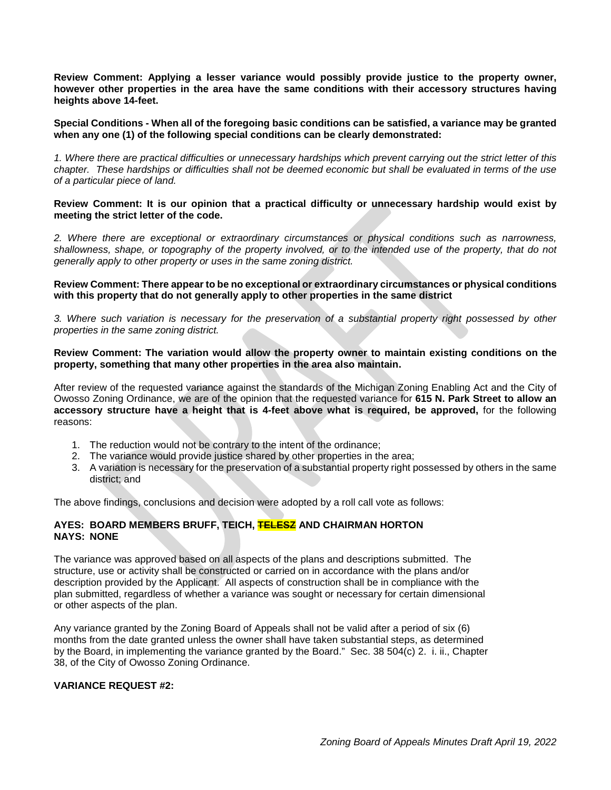**Review Comment: Applying a lesser variance would possibly provide justice to the property owner, however other properties in the area have the same conditions with their accessory structures having heights above 14-feet.** 

**Special Conditions - When all of the foregoing basic conditions can be satisfied, a variance may be granted when any one (1) of the following special conditions can be clearly demonstrated:**

*1. Where there are practical difficulties or unnecessary hardships which prevent carrying out the strict letter of this chapter. These hardships or difficulties shall not be deemed economic but shall be evaluated in terms of the use of a particular piece of land.* 

**Review Comment: It is our opinion that a practical difficulty or unnecessary hardship would exist by meeting the strict letter of the code.**

*2. Where there are exceptional or extraordinary circumstances or physical conditions such as narrowness,*  shallowness, shape, or topography of the property involved, or to the intended use of the property, that do not *generally apply to other property or uses in the same zoning district.* 

**Review Comment: There appear to be no exceptional or extraordinary circumstances or physical conditions with this property that do not generally apply to other properties in the same district**

*3. Where such variation is necessary for the preservation of a substantial property right possessed by other properties in the same zoning district.*

**Review Comment: The variation would allow the property owner to maintain existing conditions on the property, something that many other properties in the area also maintain.**

After review of the requested variance against the standards of the Michigan Zoning Enabling Act and the City of Owosso Zoning Ordinance, we are of the opinion that the requested variance for **615 N. Park Street to allow an accessory structure have a height that is 4-feet above what is required, be approved,** for the following reasons:

- 1. The reduction would not be contrary to the intent of the ordinance;
- 2. The variance would provide justice shared by other properties in the area;
- 3. A variation is necessary for the preservation of a substantial property right possessed by others in the same district; and

The above findings, conclusions and decision were adopted by a roll call vote as follows:

# **AYES: BOARD MEMBERS BRUFF, TEICH, TELESZ AND CHAIRMAN HORTON NAYS: NONE**

The variance was approved based on all aspects of the plans and descriptions submitted. The structure, use or activity shall be constructed or carried on in accordance with the plans and/or description provided by the Applicant. All aspects of construction shall be in compliance with the plan submitted, regardless of whether a variance was sought or necessary for certain dimensional or other aspects of the plan.

Any variance granted by the Zoning Board of Appeals shall not be valid after a period of six (6) months from the date granted unless the owner shall have taken substantial steps, as determined by the Board, in implementing the variance granted by the Board." Sec. 38 504(c) 2. i. ii., Chapter 38, of the City of Owosso Zoning Ordinance.

# **VARIANCE REQUEST #2:**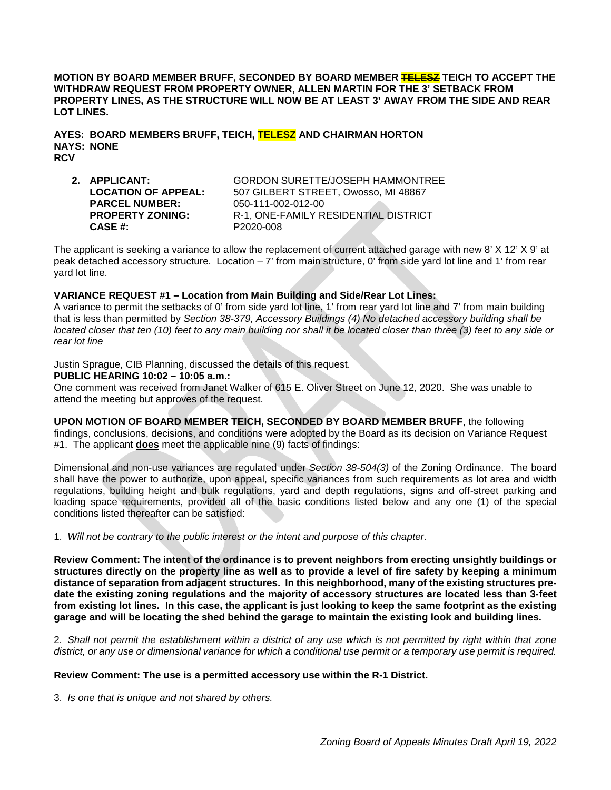**MOTION BY BOARD MEMBER BRUFF, SECONDED BY BOARD MEMBER TELESZ TEICH TO ACCEPT THE WITHDRAW REQUEST FROM PROPERTY OWNER, ALLEN MARTIN FOR THE 3' SETBACK FROM PROPERTY LINES, AS THE STRUCTURE WILL NOW BE AT LEAST 3' AWAY FROM THE SIDE AND REAR LOT LINES.**

**AYES: BOARD MEMBERS BRUFF, TEICH, TELESZ AND CHAIRMAN HORTON NAYS: NONE RCV**

**PARCEL NUMBER:** 050-111-002-012-00<br> **PROPERTY ZONING:** R-1, ONE-FAMILY R **CASE #:** P2020-008

**2. APPLICANT:** GORDON SURETTE/JOSEPH HAMMONTREE **LOCATION OF APPEAL:** 507 GILBERT STREET, Owosso, MI 48867 R-1, ONE-FAMILY RESIDENTIAL DISTRICT

The applicant is seeking a variance to allow the replacement of current attached garage with new 8' X 12' X 9' at peak detached accessory structure. Location – 7' from main structure, 0' from side yard lot line and 1' from rear yard lot line.

# **VARIANCE REQUEST #1 – Location from Main Building and Side/Rear Lot Lines:**

A variance to permit the setbacks of 0' from side yard lot line, 1' from rear yard lot line and 7' from main building that is less than permitted by *Section 38-379, Accessory Buildings (4) No detached accessory building shall be located closer that ten (10) feet to any main building nor shall it be located closer than three (3) feet to any side or rear lot line*

Justin Sprague, CIB Planning, discussed the details of this request.

# **PUBLIC HEARING 10:02 – 10:05 a.m.:**

One comment was received from Janet Walker of 615 E. Oliver Street on June 12, 2020. She was unable to attend the meeting but approves of the request.

**UPON MOTION OF BOARD MEMBER TEICH, SECONDED BY BOARD MEMBER BRUFF**, the following findings, conclusions, decisions, and conditions were adopted by the Board as its decision on Variance Request #1. The applicant **does** meet the applicable nine (9) facts of findings:

Dimensional and non-use variances are regulated under *Section 38-504(3)* of the Zoning Ordinance. The board shall have the power to authorize, upon appeal, specific variances from such requirements as lot area and width regulations, building height and bulk regulations, yard and depth regulations, signs and off-street parking and loading space requirements, provided all of the basic conditions listed below and any one (1) of the special conditions listed thereafter can be satisfied:

1. *Will not be contrary to the public interest or the intent and purpose of this chapter.*

**Review Comment: The intent of the ordinance is to prevent neighbors from erecting unsightly buildings or structures directly on the property line as well as to provide a level of fire safety by keeping a minimum distance of separation from adjacent structures. In this neighborhood, many of the existing structures predate the existing zoning regulations and the majority of accessory structures are located less than 3-feet from existing lot lines. In this case, the applicant is just looking to keep the same footprint as the existing garage and will be locating the shed behind the garage to maintain the existing look and building lines.** 

2. *Shall not permit the establishment within a district of any use which is not permitted by right within that zone district, or any use or dimensional variance for which a conditional use permit or a temporary use permit is required.*

# **Review Comment: The use is a permitted accessory use within the R-1 District.**

3. *Is one that is unique and not shared by others.*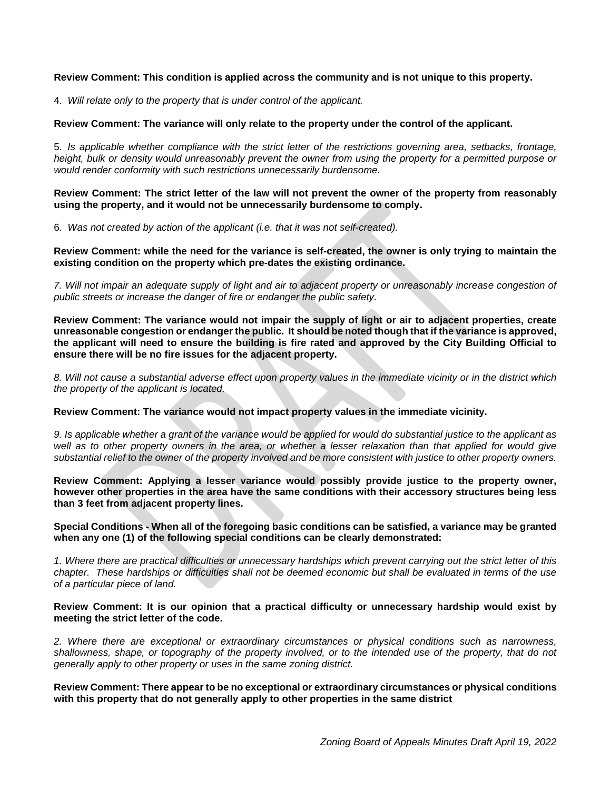# **Review Comment: This condition is applied across the community and is not unique to this property.**

4. *Will relate only to the property that is under control of the applicant.*

# **Review Comment: The variance will only relate to the property under the control of the applicant.**

5. *Is applicable whether compliance with the strict letter of the restrictions governing area, setbacks, frontage, height, bulk or density would unreasonably prevent the owner from using the property for a permitted purpose or would render conformity with such restrictions unnecessarily burdensome.*

**Review Comment: The strict letter of the law will not prevent the owner of the property from reasonably using the property, and it would not be unnecessarily burdensome to comply.**

6. *Was not created by action of the applicant (i.e. that it was not self-created).*

**Review Comment: while the need for the variance is self-created, the owner is only trying to maintain the existing condition on the property which pre-dates the existing ordinance.** 

*7. Will not impair an adequate supply of light and air to adjacent property or unreasonably increase congestion of public streets or increase the danger of fire or endanger the public safety.*

**Review Comment: The variance would not impair the supply of light or air to adjacent properties, create unreasonable congestion or endanger the public. It should be noted though that if the variance is approved, the applicant will need to ensure the building is fire rated and approved by the City Building Official to ensure there will be no fire issues for the adjacent property.**

*8. Will not cause a substantial adverse effect upon property values in the immediate vicinity or in the district which the property of the applicant is located.* 

# **Review Comment: The variance would not impact property values in the immediate vicinity.**

*9. Is applicable whether a grant of the variance would be applied for would do substantial justice to the applicant as well as to other property owners in the area, or whether a lesser relaxation than that applied for would give substantial relief to the owner of the property involved and be more consistent with justice to other property owners.* 

**Review Comment: Applying a lesser variance would possibly provide justice to the property owner, however other properties in the area have the same conditions with their accessory structures being less than 3 feet from adjacent property lines.** 

# **Special Conditions - When all of the foregoing basic conditions can be satisfied, a variance may be granted when any one (1) of the following special conditions can be clearly demonstrated:**

*1. Where there are practical difficulties or unnecessary hardships which prevent carrying out the strict letter of this chapter. These hardships or difficulties shall not be deemed economic but shall be evaluated in terms of the use of a particular piece of land.* 

#### **Review Comment: It is our opinion that a practical difficulty or unnecessary hardship would exist by meeting the strict letter of the code.**

*2. Where there are exceptional or extraordinary circumstances or physical conditions such as narrowness, shallowness, shape, or topography of the property involved, or to the intended use of the property, that do not generally apply to other property or uses in the same zoning district.* 

**Review Comment: There appear to be no exceptional or extraordinary circumstances or physical conditions with this property that do not generally apply to other properties in the same district**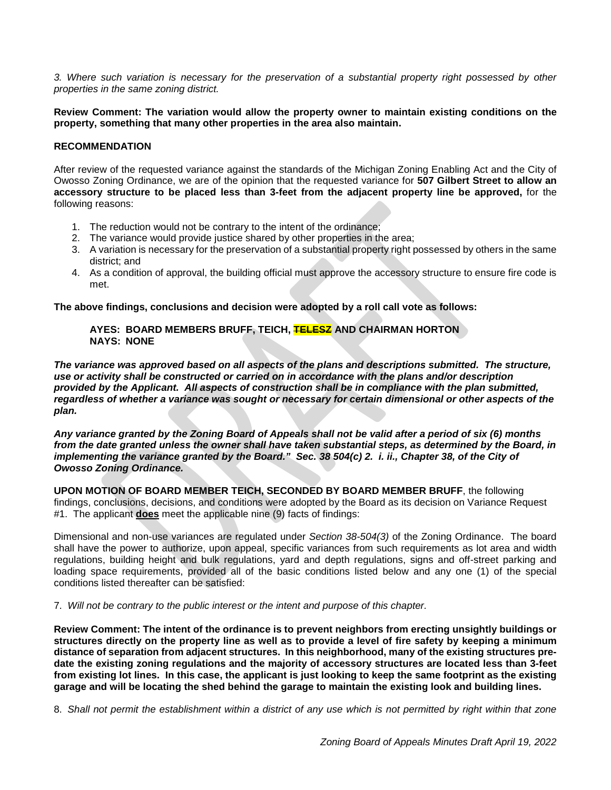*3. Where such variation is necessary for the preservation of a substantial property right possessed by other properties in the same zoning district.*

**Review Comment: The variation would allow the property owner to maintain existing conditions on the property, something that many other properties in the area also maintain.**

# **RECOMMENDATION**

After review of the requested variance against the standards of the Michigan Zoning Enabling Act and the City of Owosso Zoning Ordinance, we are of the opinion that the requested variance for **507 Gilbert Street to allow an accessory structure to be placed less than 3-feet from the adjacent property line be approved,** for the following reasons:

- 1. The reduction would not be contrary to the intent of the ordinance;
- 2. The variance would provide justice shared by other properties in the area;
- 3. A variation is necessary for the preservation of a substantial property right possessed by others in the same district; and
- 4. As a condition of approval, the building official must approve the accessory structure to ensure fire code is met.

**The above findings, conclusions and decision were adopted by a roll call vote as follows:** 

# **AYES: BOARD MEMBERS BRUFF, TEICH, TELESZ AND CHAIRMAN HORTON NAYS: NONE**

*The variance was approved based on all aspects of the plans and descriptions submitted. The structure, use or activity shall be constructed or carried on in accordance with the plans and/or description provided by the Applicant. All aspects of construction shall be in compliance with the plan submitted, regardless of whether a variance was sought or necessary for certain dimensional or other aspects of the plan.* 

*Any variance granted by the Zoning Board of Appeals shall not be valid after a period of six (6) months from the date granted unless the owner shall have taken substantial steps, as determined by the Board, in implementing the variance granted by the Board.*" Sec. 38 504(c) 2. *i. ii., Chapter 38, of the City of Owosso Zoning Ordinance.*

**UPON MOTION OF BOARD MEMBER TEICH, SECONDED BY BOARD MEMBER BRUFF**, the following findings, conclusions, decisions, and conditions were adopted by the Board as its decision on Variance Request #1. The applicant **does** meet the applicable nine (9) facts of findings:

Dimensional and non-use variances are regulated under *Section 38-504(3)* of the Zoning Ordinance. The board shall have the power to authorize, upon appeal, specific variances from such requirements as lot area and width regulations, building height and bulk regulations, yard and depth regulations, signs and off-street parking and loading space requirements, provided all of the basic conditions listed below and any one (1) of the special conditions listed thereafter can be satisfied:

7. *Will not be contrary to the public interest or the intent and purpose of this chapter.*

**Review Comment: The intent of the ordinance is to prevent neighbors from erecting unsightly buildings or structures directly on the property line as well as to provide a level of fire safety by keeping a minimum distance of separation from adjacent structures. In this neighborhood, many of the existing structures predate the existing zoning regulations and the majority of accessory structures are located less than 3-feet from existing lot lines. In this case, the applicant is just looking to keep the same footprint as the existing garage and will be locating the shed behind the garage to maintain the existing look and building lines.** 

8. *Shall not permit the establishment within a district of any use which is not permitted by right within that zone*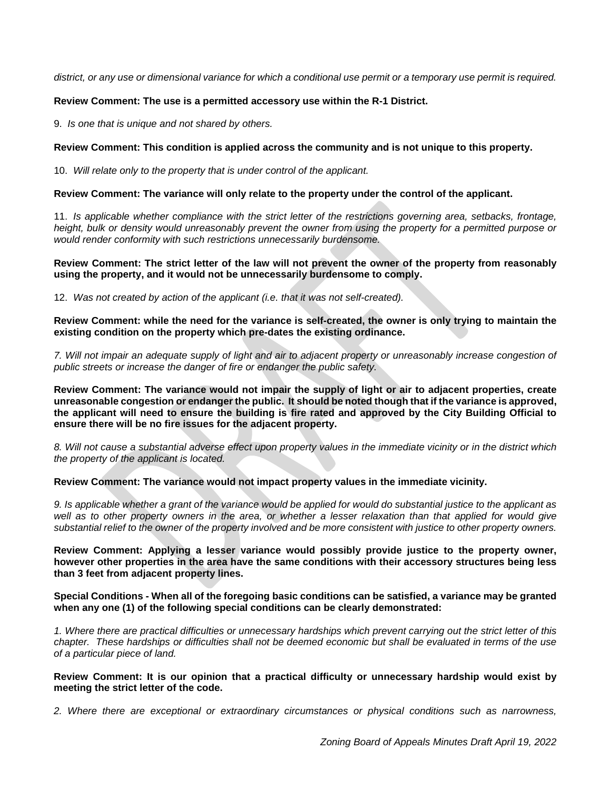*district, or any use or dimensional variance for which a conditional use permit or a temporary use permit is required.*

# **Review Comment: The use is a permitted accessory use within the R-1 District.**

9. *Is one that is unique and not shared by others.*

# **Review Comment: This condition is applied across the community and is not unique to this property.**

10. *Will relate only to the property that is under control of the applicant.*

## **Review Comment: The variance will only relate to the property under the control of the applicant.**

11. *Is applicable whether compliance with the strict letter of the restrictions governing area, setbacks, frontage, height, bulk or density would unreasonably prevent the owner from using the property for a permitted purpose or would render conformity with such restrictions unnecessarily burdensome.*

**Review Comment: The strict letter of the law will not prevent the owner of the property from reasonably using the property, and it would not be unnecessarily burdensome to comply.**

12. *Was not created by action of the applicant (i.e. that it was not self-created).*

**Review Comment: while the need for the variance is self-created, the owner is only trying to maintain the existing condition on the property which pre-dates the existing ordinance.** 

7. Will not impair an adequate supply of light and air to adjacent property or unreasonably increase congestion of *public streets or increase the danger of fire or endanger the public safety.*

**Review Comment: The variance would not impair the supply of light or air to adjacent properties, create unreasonable congestion or endanger the public. It should be noted though that if the variance is approved, the applicant will need to ensure the building is fire rated and approved by the City Building Official to ensure there will be no fire issues for the adjacent property.**

*8. Will not cause a substantial adverse effect upon property values in the immediate vicinity or in the district which the property of the applicant is located.* 

**Review Comment: The variance would not impact property values in the immediate vicinity.**

*9. Is applicable whether a grant of the variance would be applied for would do substantial justice to the applicant as well as to other property owners in the area, or whether a lesser relaxation than that applied for would give substantial relief to the owner of the property involved and be more consistent with justice to other property owners.* 

**Review Comment: Applying a lesser variance would possibly provide justice to the property owner, however other properties in the area have the same conditions with their accessory structures being less than 3 feet from adjacent property lines.** 

**Special Conditions - When all of the foregoing basic conditions can be satisfied, a variance may be granted when any one (1) of the following special conditions can be clearly demonstrated:**

*1. Where there are practical difficulties or unnecessary hardships which prevent carrying out the strict letter of this chapter. These hardships or difficulties shall not be deemed economic but shall be evaluated in terms of the use of a particular piece of land.* 

**Review Comment: It is our opinion that a practical difficulty or unnecessary hardship would exist by meeting the strict letter of the code.**

*2. Where there are exceptional or extraordinary circumstances or physical conditions such as narrowness,*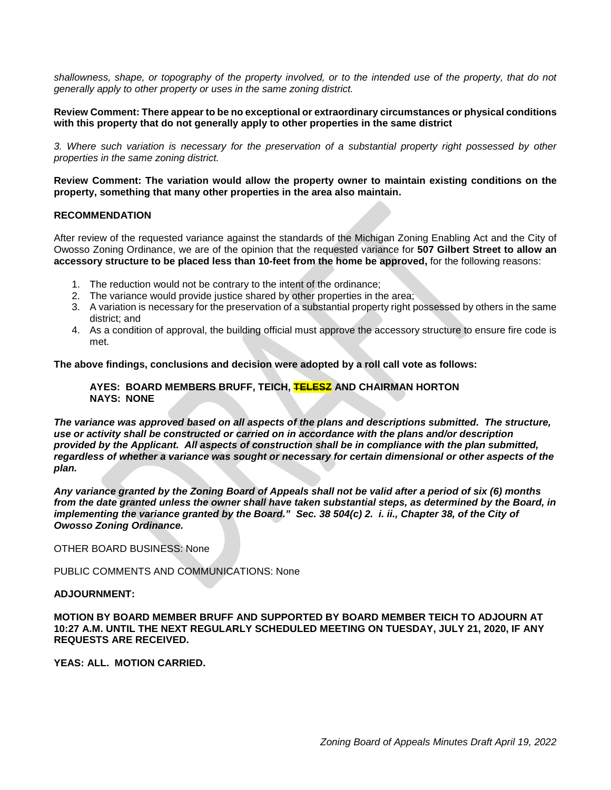shallowness, shape, or topography of the property involved, or to the intended use of the property, that do not *generally apply to other property or uses in the same zoning district.* 

# **Review Comment: There appear to be no exceptional or extraordinary circumstances or physical conditions with this property that do not generally apply to other properties in the same district**

*3. Where such variation is necessary for the preservation of a substantial property right possessed by other properties in the same zoning district.*

**Review Comment: The variation would allow the property owner to maintain existing conditions on the property, something that many other properties in the area also maintain.**

# **RECOMMENDATION**

After review of the requested variance against the standards of the Michigan Zoning Enabling Act and the City of Owosso Zoning Ordinance, we are of the opinion that the requested variance for **507 Gilbert Street to allow an accessory structure to be placed less than 10-feet from the home be approved,** for the following reasons:

- 1. The reduction would not be contrary to the intent of the ordinance;
- 2. The variance would provide justice shared by other properties in the area;
- 3. A variation is necessary for the preservation of a substantial property right possessed by others in the same district; and
- 4. As a condition of approval, the building official must approve the accessory structure to ensure fire code is met.

**The above findings, conclusions and decision were adopted by a roll call vote as follows:** 

# **AYES: BOARD MEMBERS BRUFF, TEICH, TELESZ AND CHAIRMAN HORTON NAYS: NONE**

*The variance was approved based on all aspects of the plans and descriptions submitted. The structure, use or activity shall be constructed or carried on in accordance with the plans and/or description provided by the Applicant. All aspects of construction shall be in compliance with the plan submitted, regardless of whether a variance was sought or necessary for certain dimensional or other aspects of the plan.* 

*Any variance granted by the Zoning Board of Appeals shall not be valid after a period of six (6) months from the date granted unless the owner shall have taken substantial steps, as determined by the Board, in implementing the variance granted by the Board." Sec. 38 504(c) 2. i. ii., Chapter 38, of the City of Owosso Zoning Ordinance.*

OTHER BOARD BUSINESS: None

PUBLIC COMMENTS AND COMMUNICATIONS: None

#### **ADJOURNMENT:**

**MOTION BY BOARD MEMBER BRUFF AND SUPPORTED BY BOARD MEMBER TEICH TO ADJOURN AT 10:27 A.M. UNTIL THE NEXT REGULARLY SCHEDULED MEETING ON TUESDAY, JULY 21, 2020, IF ANY REQUESTS ARE RECEIVED.**

**YEAS: ALL. MOTION CARRIED.**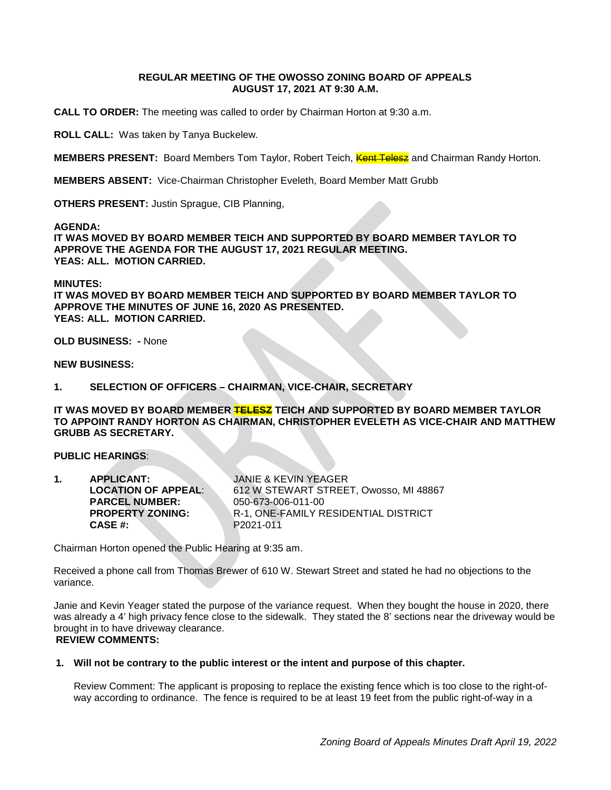# **REGULAR MEETING OF THE OWOSSO ZONING BOARD OF APPEALS AUGUST 17, 2021 AT 9:30 A.M.**

**CALL TO ORDER:** The meeting was called to order by Chairman Horton at 9:30 a.m.

**ROLL CALL:** Was taken by Tanya Buckelew.

**MEMBERS PRESENT:** Board Members Tom Taylor, Robert Teich, **Kent Telesz** and Chairman Randy Horton.

**MEMBERS ABSENT:** Vice-Chairman Christopher Eveleth, Board Member Matt Grubb

**OTHERS PRESENT:** Justin Sprague, CIB Planning,

**AGENDA:** 

**IT WAS MOVED BY BOARD MEMBER TEICH AND SUPPORTED BY BOARD MEMBER TAYLOR TO APPROVE THE AGENDA FOR THE AUGUST 17, 2021 REGULAR MEETING. YEAS: ALL. MOTION CARRIED.**

# **MINUTES:**

**IT WAS MOVED BY BOARD MEMBER TEICH AND SUPPORTED BY BOARD MEMBER TAYLOR TO APPROVE THE MINUTES OF JUNE 16, 2020 AS PRESENTED. YEAS: ALL. MOTION CARRIED.**

**OLD BUSINESS: -** None

**NEW BUSINESS:**

**1. SELECTION OF OFFICERS – CHAIRMAN, VICE-CHAIR, SECRETARY** 

**IT WAS MOVED BY BOARD MEMBER TELESZ TEICH AND SUPPORTED BY BOARD MEMBER TAYLOR TO APPOINT RANDY HORTON AS CHAIRMAN, CHRISTOPHER EVELETH AS VICE-CHAIR AND MATTHEW GRUBB AS SECRETARY.**

# **PUBLIC HEARINGS**:

| 1. | <b>APPLICANT:</b>          | JANIE & KEVIN YEAGER                   |
|----|----------------------------|----------------------------------------|
|    | <b>LOCATION OF APPEAL:</b> | 612 W STEWART STREET, Owosso, MI 48867 |
|    | <b>PARCEL NUMBER:</b>      | 050-673-006-011-00                     |
|    | <b>PROPERTY ZONING:</b>    | R-1, ONE-FAMILY RESIDENTIAL DISTRICT   |
|    | CASE #:                    | P <sub>2021</sub> -011                 |

Chairman Horton opened the Public Hearing at 9:35 am.

Received a phone call from Thomas Brewer of 610 W. Stewart Street and stated he had no objections to the variance.

Janie and Kevin Yeager stated the purpose of the variance request. When they bought the house in 2020, there was already a 4' high privacy fence close to the sidewalk. They stated the 8' sections near the driveway would be brought in to have driveway clearance.

# **REVIEW COMMENTS:**

# **1. Will not be contrary to the public interest or the intent and purpose of this chapter.**

Review Comment: The applicant is proposing to replace the existing fence which is too close to the right-ofway according to ordinance. The fence is required to be at least 19 feet from the public right-of-way in a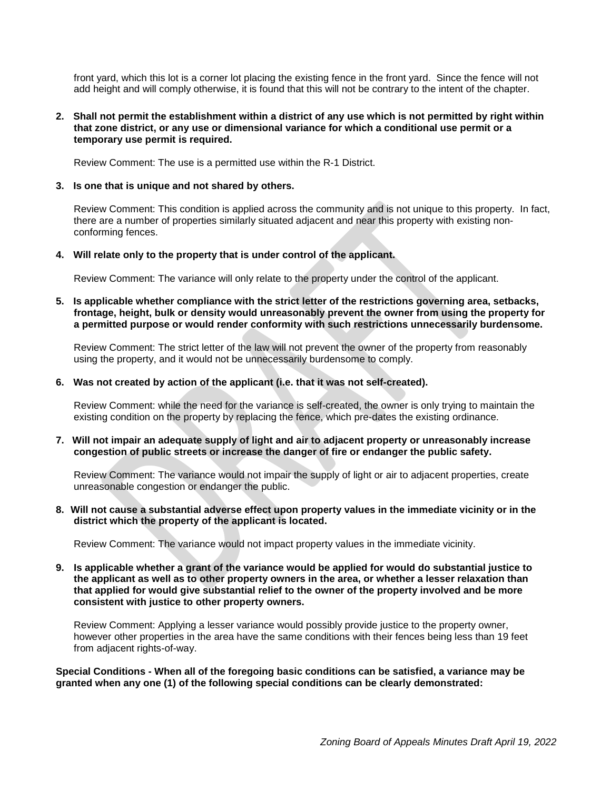front yard, which this lot is a corner lot placing the existing fence in the front yard. Since the fence will not add height and will comply otherwise, it is found that this will not be contrary to the intent of the chapter.

# **2. Shall not permit the establishment within a district of any use which is not permitted by right within that zone district, or any use or dimensional variance for which a conditional use permit or a temporary use permit is required.**

Review Comment: The use is a permitted use within the R-1 District.

#### **3. Is one that is unique and not shared by others.**

Review Comment: This condition is applied across the community and is not unique to this property. In fact, there are a number of properties similarly situated adjacent and near this property with existing nonconforming fences.

# **4. Will relate only to the property that is under control of the applicant.**

Review Comment: The variance will only relate to the property under the control of the applicant.

**5. Is applicable whether compliance with the strict letter of the restrictions governing area, setbacks, frontage, height, bulk or density would unreasonably prevent the owner from using the property for a permitted purpose or would render conformity with such restrictions unnecessarily burdensome.**

Review Comment: The strict letter of the law will not prevent the owner of the property from reasonably using the property, and it would not be unnecessarily burdensome to comply.

#### **6. Was not created by action of the applicant (i.e. that it was not self-created).**

Review Comment: while the need for the variance is self-created, the owner is only trying to maintain the existing condition on the property by replacing the fence, which pre-dates the existing ordinance.

#### **7. Will not impair an adequate supply of light and air to adjacent property or unreasonably increase congestion of public streets or increase the danger of fire or endanger the public safety.**

Review Comment: The variance would not impair the supply of light or air to adjacent properties, create unreasonable congestion or endanger the public.

## **8. Will not cause a substantial adverse effect upon property values in the immediate vicinity or in the district which the property of the applicant is located.**

Review Comment: The variance would not impact property values in the immediate vicinity.

## **9. Is applicable whether a grant of the variance would be applied for would do substantial justice to the applicant as well as to other property owners in the area, or whether a lesser relaxation than that applied for would give substantial relief to the owner of the property involved and be more consistent with justice to other property owners.**

Review Comment: Applying a lesser variance would possibly provide justice to the property owner, however other properties in the area have the same conditions with their fences being less than 19 feet from adjacent rights-of-way.

**Special Conditions - When all of the foregoing basic conditions can be satisfied, a variance may be granted when any one (1) of the following special conditions can be clearly demonstrated:**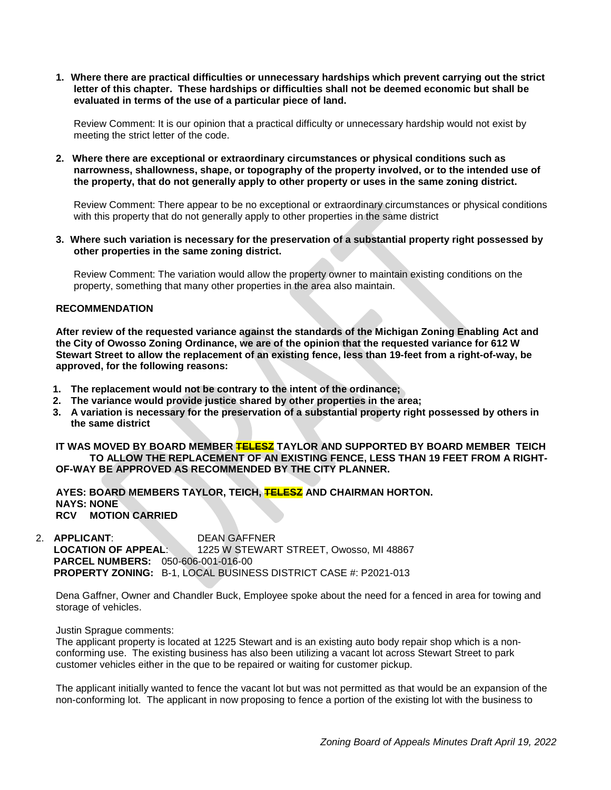**1. Where there are practical difficulties or unnecessary hardships which prevent carrying out the strict letter of this chapter. These hardships or difficulties shall not be deemed economic but shall be evaluated in terms of the use of a particular piece of land.**

Review Comment: It is our opinion that a practical difficulty or unnecessary hardship would not exist by meeting the strict letter of the code.

**2. Where there are exceptional or extraordinary circumstances or physical conditions such as narrowness, shallowness, shape, or topography of the property involved, or to the intended use of the property, that do not generally apply to other property or uses in the same zoning district.**

Review Comment: There appear to be no exceptional or extraordinary circumstances or physical conditions with this property that do not generally apply to other properties in the same district

**3. Where such variation is necessary for the preservation of a substantial property right possessed by other properties in the same zoning district.**

Review Comment: The variation would allow the property owner to maintain existing conditions on the property, something that many other properties in the area also maintain.

# **RECOMMENDATION**

**After review of the requested variance against the standards of the Michigan Zoning Enabling Act and the City of Owosso Zoning Ordinance, we are of the opinion that the requested variance for 612 W Stewart Street to allow the replacement of an existing fence, less than 19-feet from a right-of-way, be approved, for the following reasons:**

- **1. The replacement would not be contrary to the intent of the ordinance;**
- **2. The variance would provide justice shared by other properties in the area;**
- **3. A variation is necessary for the preservation of a substantial property right possessed by others in the same district**

## **IT WAS MOVED BY BOARD MEMBER TELESZ TAYLOR AND SUPPORTED BY BOARD MEMBER TEICH TO ALLOW THE REPLACEMENT OF AN EXISTING FENCE, LESS THAN 19 FEET FROM A RIGHT-OF-WAY BE APPROVED AS RECOMMENDED BY THE CITY PLANNER.**

**AYES: BOARD MEMBERS TAYLOR, TEICH, TELESZ AND CHAIRMAN HORTON. NAYS: NONE RCV MOTION CARRIED**

2. **APPLICANT:** DEAN GAFFNER<br>**LOCATION OF APPEAL:** 1225 W STEWAR 1225 W STEWART STREET, Owosso, MI 48867 **PARCEL NUMBERS:** 050-606-001-016-00 **PROPERTY ZONING:** B-1, LOCAL BUSINESS DISTRICT CASE #: P2021-013

Dena Gaffner, Owner and Chandler Buck, Employee spoke about the need for a fenced in area for towing and storage of vehicles.

Justin Sprague comments:

The applicant property is located at 1225 Stewart and is an existing auto body repair shop which is a nonconforming use. The existing business has also been utilizing a vacant lot across Stewart Street to park customer vehicles either in the que to be repaired or waiting for customer pickup.

The applicant initially wanted to fence the vacant lot but was not permitted as that would be an expansion of the non-conforming lot. The applicant in now proposing to fence a portion of the existing lot with the business to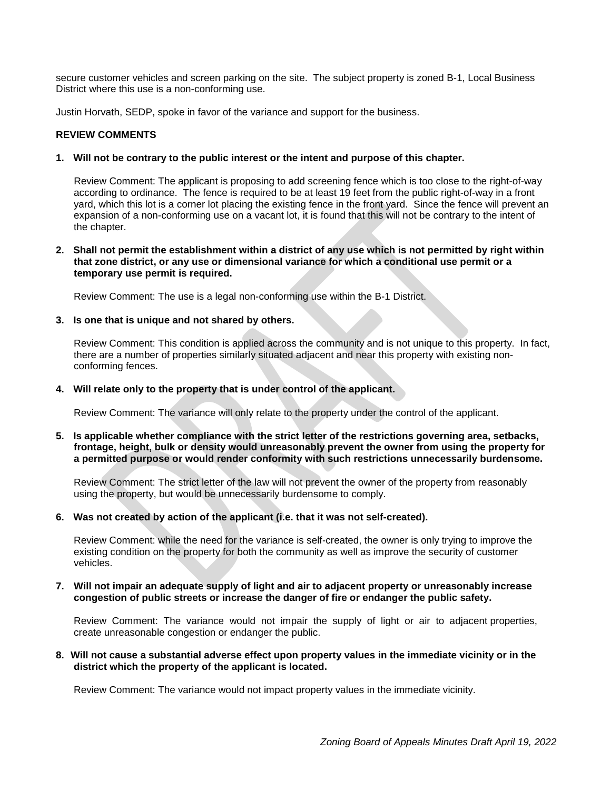secure customer vehicles and screen parking on the site. The subject property is zoned B-1, Local Business District where this use is a non-conforming use.

Justin Horvath, SEDP, spoke in favor of the variance and support for the business.

# **REVIEW COMMENTS**

#### **1. Will not be contrary to the public interest or the intent and purpose of this chapter.**

Review Comment: The applicant is proposing to add screening fence which is too close to the right-of-way according to ordinance. The fence is required to be at least 19 feet from the public right-of-way in a front yard, which this lot is a corner lot placing the existing fence in the front yard. Since the fence will prevent an expansion of a non-conforming use on a vacant lot, it is found that this will not be contrary to the intent of the chapter.

**2. Shall not permit the establishment within a district of any use which is not permitted by right within that zone district, or any use or dimensional variance for which a conditional use permit or a temporary use permit is required.**

Review Comment: The use is a legal non-conforming use within the B-1 District.

#### **3. Is one that is unique and not shared by others.**

Review Comment: This condition is applied across the community and is not unique to this property. In fact, there are a number of properties similarly situated adjacent and near this property with existing nonconforming fences.

# **4. Will relate only to the property that is under control of the applicant.**

Review Comment: The variance will only relate to the property under the control of the applicant.

**5. Is applicable whether compliance with the strict letter of the restrictions governing area, setbacks, frontage, height, bulk or density would unreasonably prevent the owner from using the property for a permitted purpose or would render conformity with such restrictions unnecessarily burdensome.**

Review Comment: The strict letter of the law will not prevent the owner of the property from reasonably using the property, but would be unnecessarily burdensome to comply.

# **6. Was not created by action of the applicant (i.e. that it was not self-created).**

Review Comment: while the need for the variance is self-created, the owner is only trying to improve the existing condition on the property for both the community as well as improve the security of customer vehicles.

# **7. Will not impair an adequate supply of light and air to adjacent property or unreasonably increase congestion of public streets or increase the danger of fire or endanger the public safety.**

Review Comment: The variance would not impair the supply of light or air to adjacent properties, create unreasonable congestion or endanger the public.

**8. Will not cause a substantial adverse effect upon property values in the immediate vicinity or in the district which the property of the applicant is located.**

Review Comment: The variance would not impact property values in the immediate vicinity.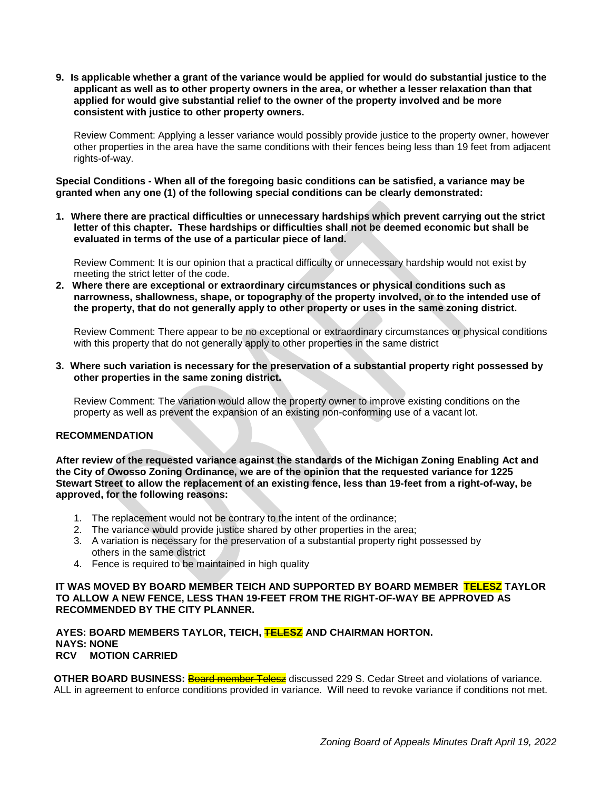**9. Is applicable whether a grant of the variance would be applied for would do substantial justice to the applicant as well as to other property owners in the area, or whether a lesser relaxation than that applied for would give substantial relief to the owner of the property involved and be more consistent with justice to other property owners.**

Review Comment: Applying a lesser variance would possibly provide justice to the property owner, however other properties in the area have the same conditions with their fences being less than 19 feet from adjacent rights-of-way.

**Special Conditions - When all of the foregoing basic conditions can be satisfied, a variance may be granted when any one (1) of the following special conditions can be clearly demonstrated:**

**1. Where there are practical difficulties or unnecessary hardships which prevent carrying out the strict letter of this chapter. These hardships or difficulties shall not be deemed economic but shall be evaluated in terms of the use of a particular piece of land.**

Review Comment: It is our opinion that a practical difficulty or unnecessary hardship would not exist by meeting the strict letter of the code.

**2. Where there are exceptional or extraordinary circumstances or physical conditions such as narrowness, shallowness, shape, or topography of the property involved, or to the intended use of the property, that do not generally apply to other property or uses in the same zoning district.**

Review Comment: There appear to be no exceptional or extraordinary circumstances or physical conditions with this property that do not generally apply to other properties in the same district

**3. Where such variation is necessary for the preservation of a substantial property right possessed by other properties in the same zoning district.**

Review Comment: The variation would allow the property owner to improve existing conditions on the property as well as prevent the expansion of an existing non-conforming use of a vacant lot.

# **RECOMMENDATION**

**After review of the requested variance against the standards of the Michigan Zoning Enabling Act and the City of Owosso Zoning Ordinance, we are of the opinion that the requested variance for 1225 Stewart Street to allow the replacement of an existing fence, less than 19-feet from a right-of-way, be approved, for the following reasons:**

- 1. The replacement would not be contrary to the intent of the ordinance;
- 2. The variance would provide justice shared by other properties in the area;
- 3. A variation is necessary for the preservation of a substantial property right possessed by others in the same district
- 4. Fence is required to be maintained in high quality

# **IT WAS MOVED BY BOARD MEMBER TEICH AND SUPPORTED BY BOARD MEMBER TELESZ TAYLOR TO ALLOW A NEW FENCE, LESS THAN 19-FEET FROM THE RIGHT-OF-WAY BE APPROVED AS RECOMMENDED BY THE CITY PLANNER.**

**AYES: BOARD MEMBERS TAYLOR, TEICH, TELESZ AND CHAIRMAN HORTON. NAYS: NONE RCV MOTION CARRIED**

**OTHER BOARD BUSINESS:** Board member Telesz discussed 229 S. Cedar Street and violations of variance. ALL in agreement to enforce conditions provided in variance. Will need to revoke variance if conditions not met.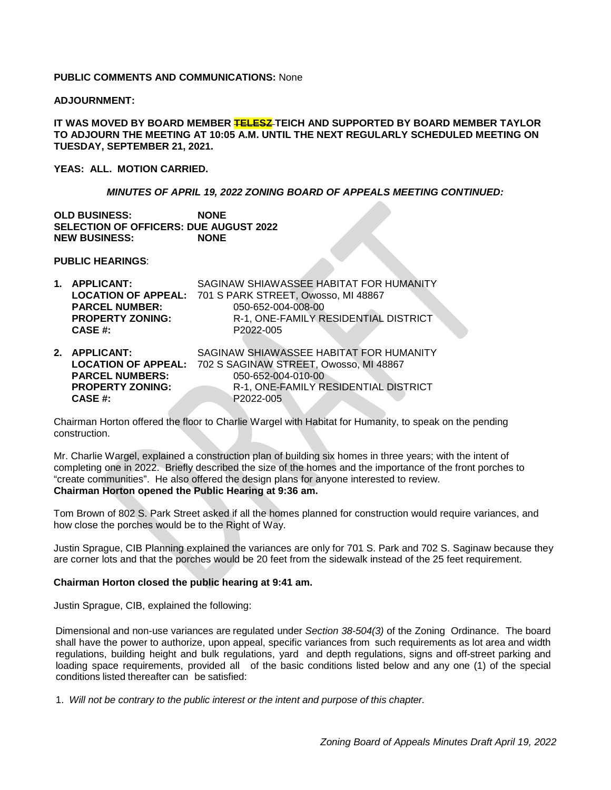# **PUBLIC COMMENTS AND COMMUNICATIONS:** None

#### **ADJOURNMENT:**

**IT WAS MOVED BY BOARD MEMBER TELESZ TEICH AND SUPPORTED BY BOARD MEMBER TAYLOR TO ADJOURN THE MEETING AT 10:05 A.M. UNTIL THE NEXT REGULARLY SCHEDULED MEETING ON TUESDAY, SEPTEMBER 21, 2021.** 

**YEAS: ALL. MOTION CARRIED.**

#### *MINUTES OF APRIL 19, 2022 ZONING BOARD OF APPEALS MEETING CONTINUED:*

**OLD BUSINESS: NONE SELECTION OF OFFICERS: DUE AUGUST 2022 NEW BUSINESS:** 

**PUBLIC HEARINGS**:

| 1. APPLICANT:           | SAGINAW SHIAWASSEE HABITAT FOR HUMANITY                    |
|-------------------------|------------------------------------------------------------|
|                         | LOCATION OF APPEAL: 701 S PARK STREET, Owosso, MI 48867    |
| <b>PARCEL NUMBER:</b>   | 050-652-004-008-00                                         |
| <b>PROPERTY ZONING:</b> | R-1, ONE-FAMILY RESIDENTIAL DISTRICT                       |
| CASE #:                 | P2022-005                                                  |
|                         |                                                            |
| 2. APPLICANT:           | SAGINAW SHIAWASSEE HABITAT FOR HUMANITY                    |
|                         | LOCATION OF APPEAL: 702 S SAGINAW STREET, Owosso, MI 48867 |
| <b>PARCEL NUMBERS:</b>  | 050-652-004-010-00                                         |
| <b>PROPERTY ZONING:</b> | R-1, ONE-FAMILY RESIDENTIAL DISTRICT                       |
| CASE #:                 | P2022-005                                                  |

Chairman Horton offered the floor to Charlie Wargel with Habitat for Humanity, to speak on the pending construction.

Mr. Charlie Wargel, explained a construction plan of building six homes in three years; with the intent of completing one in 2022. Briefly described the size of the homes and the importance of the front porches to "create communities". He also offered the design plans for anyone interested to review. **Chairman Horton opened the Public Hearing at 9:36 am.** 

Tom Brown of 802 S. Park Street asked if all the homes planned for construction would require variances, and how close the porches would be to the Right of Way.

Justin Sprague, CIB Planning explained the variances are only for 701 S. Park and 702 S. Saginaw because they are corner lots and that the porches would be 20 feet from the sidewalk instead of the 25 feet requirement.

#### **Chairman Horton closed the public hearing at 9:41 am.**

Justin Sprague, CIB, explained the following:

Dimensional and non-use variances are regulated under *Section 38-504(3)* of the Zoning Ordinance. The board shall have the power to authorize, upon appeal, specific variances from such requirements as lot area and width regulations, building height and bulk regulations, yard and depth regulations, signs and off-street parking and loading space requirements, provided all of the basic conditions listed below and any one (1) of the special conditions listed thereafter can be satisfied:

1. *Will not be contrary to the public interest or the intent and purpose of this chapter.*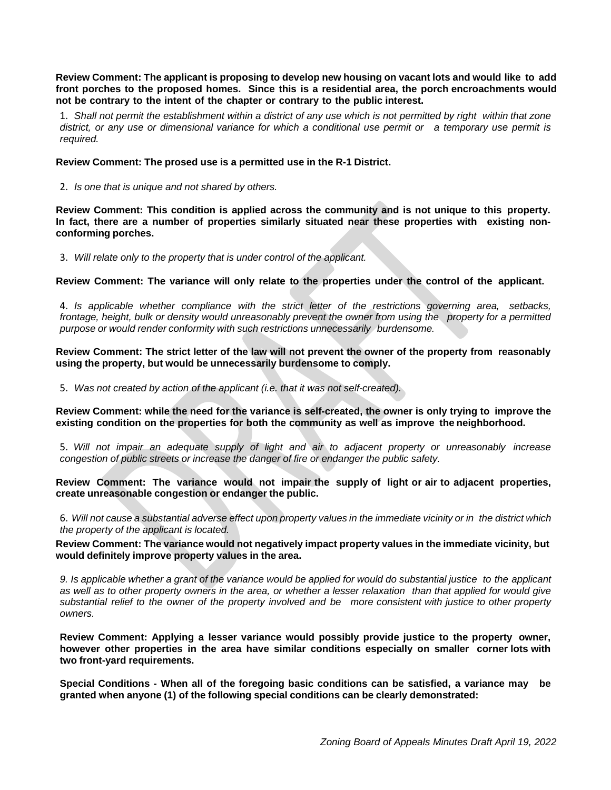**Review Comment: The applicant is proposing to develop new housing on vacant lots and would like to add front porches to the proposed homes. Since this is a residential area, the porch encroachments would not be contrary to the intent of the chapter or contrary to the public interest.**

1. Shall not permit the establishment within a district of any use which is not permitted by right within that zone district, or any use or dimensional variance for which a conditional use permit or a temporary use permit is *required.*

**Review Comment: The prosed use is a permitted use in the R-1 District.**

2. *Is one that is unique and not shared by others.*

**Review Comment: This condition is applied across the community and is not unique to this property. In fact, there are a number of properties similarly situated near these properties with existing nonconforming porches.**

3. *Will relate only to the property that is under control of the applicant.*

**Review Comment: The variance will only relate to the properties under the control of the applicant.**

4. *Is applicable whether compliance with the strict letter of the restrictions governing area, setbacks,* frontage, height, bulk or density would unreasonably prevent the owner from using the property for a permitted *purpose or would render conformity with such restrictions unnecessarily burdensome.*

**Review Comment: The strict letter of the law will not prevent the owner of the property from reasonably using the property, but would be unnecessarily burdensome to comply.**

5. *Was not created by action of the applicant (i.e. that it was not self-created).*

Review Comment: while the need for the variance is self-created, the owner is only trying to improve the **existing condition on the properties for both the community as well as improve the neighborhood.**

5. *Will not impair an adequate supply of light and air to adjacent property or unreasonably increase congestion of public streets or increase the danger of fire or endanger the public safety.*

**Review Comment: The variance would not impair the supply of light or air to adjacent properties, create unreasonable congestion or endanger the public.**

6. Will not cause a substantial adverse effect upon property values in the immediate vicinity or in the district which *the property of the applicant is located.*

**Review Comment: The variance would not negatively impact property values in the immediate vicinity, but would definitely improve property values in the area.**

9. Is applicable whether a grant of the variance would be applied for would do substantial justice to the applicant as well as to other property owners in the area, or whether a lesser relaxation than that applied for would give substantial relief to the owner of the property involved and be more consistent with justice to other property *owners.*

**Review Comment: Applying a lesser variance would possibly provide justice to the property owner, however other properties in the area have similar conditions especially on smaller corner lots with two front-yard requirements.**

**Special Conditions - When all of the foregoing basic conditions can be satisfied, a variance may be granted when anyone (1) of the following special conditions can be clearly demonstrated:**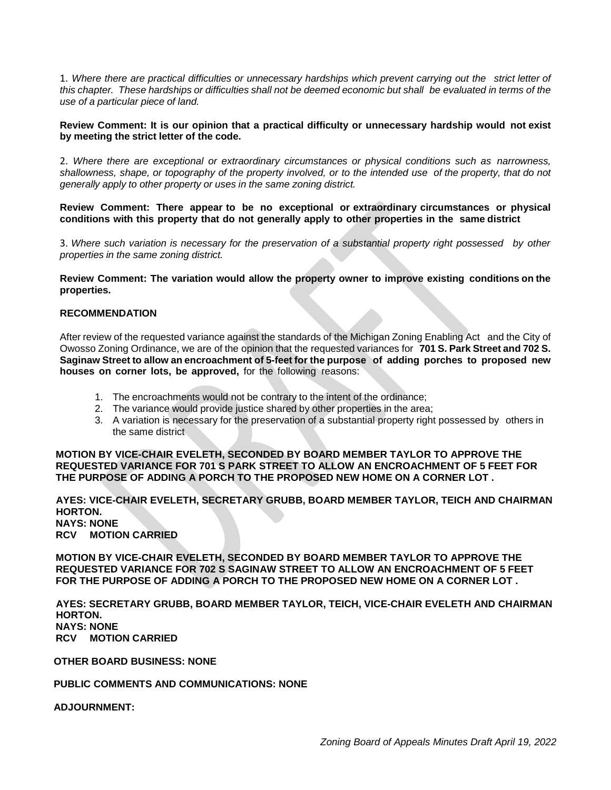1. *Where there are practical difficulties or unnecessary hardships which prevent carrying out the strict letter of* this chapter. These hardships or difficulties shall not be deemed economic but shall be evaluated in terms of the *use of a particular piece of land.*

#### **Review Comment: It is our opinion that a practical difficulty or unnecessary hardship would not exist by meeting the strict letter of the code.**

2. *Where there are exceptional or extraordinary circumstances or physical conditions such as narrowness,* shallowness, shape, or topography of the property involved, or to the intended use of the property, that do not *generally apply to other property or uses in the same zoning district.*

**Review Comment: There appear to be no exceptional or extraordinary circumstances or physical conditions with this property that do not generally apply to other properties in the same district**

3. *Where such variation is necessary for the preservation of a substantial property right possessed by other properties in the same zoning district.*

**Review Comment: The variation would allow the property owner to improve existing conditions on the properties.**

#### **RECOMMENDATION**

After review of the requested variance against the standards of the Michigan Zoning Enabling Act and the City of Owosso Zoning Ordinance, we are of the opinion that the requested variances for **701 S. Park Street and 702 S. Saginaw Street to allow an encroachment of 5-feet for the purpose of adding porches to proposed new houses on corner lots, be approved,** for the following reasons:

- 1. The encroachments would not be contrary to the intent of the ordinance;
- 2. The variance would provide justice shared by other properties in the area;
- 3. A variation is necessary for the preservation of a substantial property right possessed by others in the same district

**MOTION BY VICE-CHAIR EVELETH, SECONDED BY BOARD MEMBER TAYLOR TO APPROVE THE REQUESTED VARIANCE FOR 701 S PARK STREET TO ALLOW AN ENCROACHMENT OF 5 FEET FOR THE PURPOSE OF ADDING A PORCH TO THE PROPOSED NEW HOME ON A CORNER LOT .**

#### **AYES: VICE-CHAIR EVELETH, SECRETARY GRUBB, BOARD MEMBER TAYLOR, TEICH AND CHAIRMAN HORTON. NAYS: NONE RCV MOTION CARRIED**

**MOTION BY VICE-CHAIR EVELETH, SECONDED BY BOARD MEMBER TAYLOR TO APPROVE THE REQUESTED VARIANCE FOR 702 S SAGINAW STREET TO ALLOW AN ENCROACHMENT OF 5 FEET FOR THE PURPOSE OF ADDING A PORCH TO THE PROPOSED NEW HOME ON A CORNER LOT .**

**AYES: SECRETARY GRUBB, BOARD MEMBER TAYLOR, TEICH, VICE-CHAIR EVELETH AND CHAIRMAN HORTON. NAYS: NONE RCV MOTION CARRIED**

**OTHER BOARD BUSINESS: NONE**

**PUBLIC COMMENTS AND COMMUNICATIONS: NONE**

**ADJOURNMENT:**